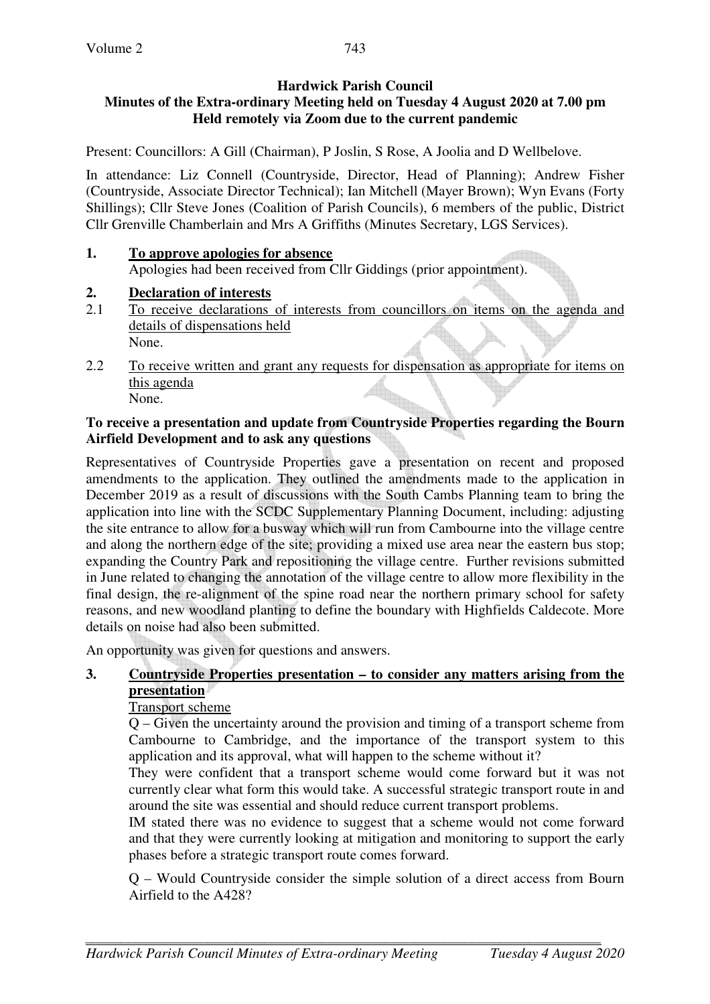## **Hardwick Parish Council**

## **Minutes of the Extra-ordinary Meeting held on Tuesday 4 August 2020 at 7.00 pm Held remotely via Zoom due to the current pandemic**

Present: Councillors: A Gill (Chairman), P Joslin, S Rose, A Joolia and D Wellbelove.

In attendance: Liz Connell (Countryside, Director, Head of Planning); Andrew Fisher (Countryside, Associate Director Technical); Ian Mitchell (Mayer Brown); Wyn Evans (Forty Shillings); Cllr Steve Jones (Coalition of Parish Councils), 6 members of the public, District Cllr Grenville Chamberlain and Mrs A Griffiths (Minutes Secretary, LGS Services).

# **1. To approve apologies for absence**

Apologies had been received from Cllr Giddings (prior appointment).

## **2. Declaration of interests**

- 2.1 To receive declarations of interests from councillors on items on the agenda and details of dispensations held None.
- 2.2 To receive written and grant any requests for dispensation as appropriate for items on this agenda None.

### **To receive a presentation and update from Countryside Properties regarding the Bourn Airfield Development and to ask any questions**

Representatives of Countryside Properties gave a presentation on recent and proposed amendments to the application. They outlined the amendments made to the application in December 2019 as a result of discussions with the South Cambs Planning team to bring the application into line with the SCDC Supplementary Planning Document, including: adjusting the site entrance to allow for a busway which will run from Cambourne into the village centre and along the northern edge of the site; providing a mixed use area near the eastern bus stop; expanding the Country Park and repositioning the village centre. Further revisions submitted in June related to changing the annotation of the village centre to allow more flexibility in the final design, the re-alignment of the spine road near the northern primary school for safety reasons, and new woodland planting to define the boundary with Highfields Caldecote. More details on noise had also been submitted.

An opportunity was given for questions and answers.

## **3. Countryside Properties presentation – to consider any matters arising from the presentation**

## Transport scheme

Q – Given the uncertainty around the provision and timing of a transport scheme from Cambourne to Cambridge, and the importance of the transport system to this application and its approval, what will happen to the scheme without it?

 They were confident that a transport scheme would come forward but it was not currently clear what form this would take. A successful strategic transport route in and around the site was essential and should reduce current transport problems.

 IM stated there was no evidence to suggest that a scheme would not come forward and that they were currently looking at mitigation and monitoring to support the early phases before a strategic transport route comes forward.

 Q – Would Countryside consider the simple solution of a direct access from Bourn Airfield to the A428?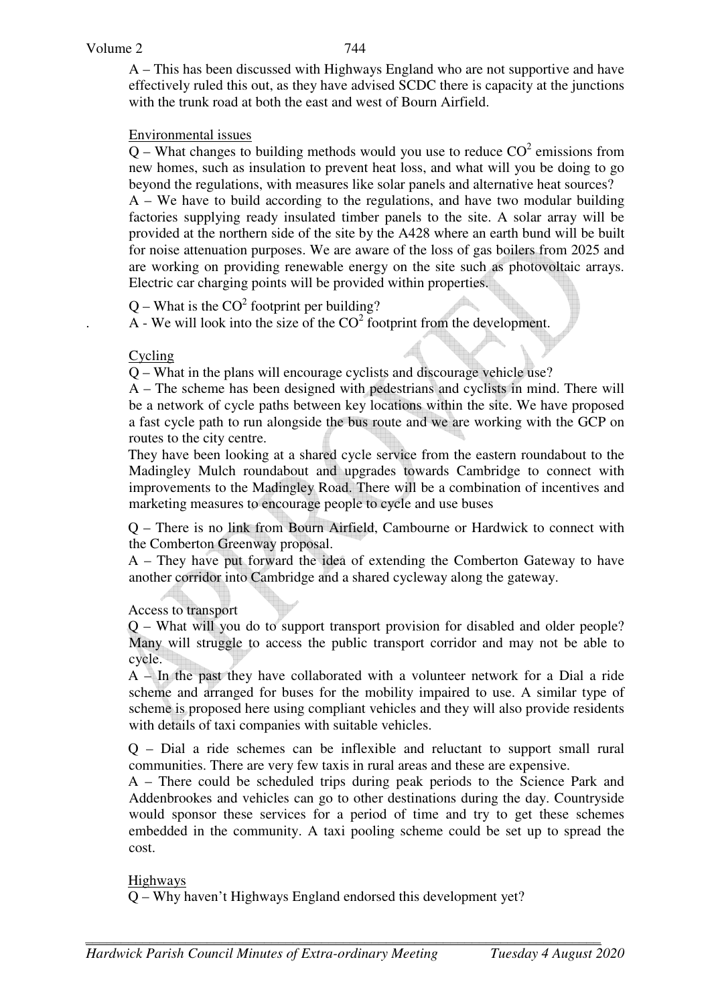A – This has been discussed with Highways England who are not supportive and have effectively ruled this out, as they have advised SCDC there is capacity at the junctions with the trunk road at both the east and west of Bourn Airfield.

### Environmental issues

 $Q$  – What changes to building methods would you use to reduce  $CO<sup>2</sup>$  emissions from new homes, such as insulation to prevent heat loss, and what will you be doing to go beyond the regulations, with measures like solar panels and alternative heat sources? A – We have to build according to the regulations, and have two modular building factories supplying ready insulated timber panels to the site. A solar array will be provided at the northern side of the site by the A428 where an earth bund will be built for noise attenuation purposes. We are aware of the loss of gas boilers from 2025 and are working on providing renewable energy on the site such as photovoltaic arrays. Electric car charging points will be provided within properties.

 $Q$  – What is the  $CO<sup>2</sup>$  footprint per building?

 $A - We will look into the size of the CO<sup>2</sup> footprint from the development.$ 

#### Cycling

Q – What in the plans will encourage cyclists and discourage vehicle use?

 A – The scheme has been designed with pedestrians and cyclists in mind. There will be a network of cycle paths between key locations within the site. We have proposed a fast cycle path to run alongside the bus route and we are working with the GCP on routes to the city centre.

They have been looking at a shared cycle service from the eastern roundabout to the Madingley Mulch roundabout and upgrades towards Cambridge to connect with improvements to the Madingley Road. There will be a combination of incentives and marketing measures to encourage people to cycle and use buses

Q – There is no link from Bourn Airfield, Cambourne or Hardwick to connect with the Comberton Greenway proposal.

A – They have put forward the idea of extending the Comberton Gateway to have another corridor into Cambridge and a shared cycleway along the gateway.

Access to transport

Q – What will you do to support transport provision for disabled and older people? Many will struggle to access the public transport corridor and may not be able to cycle.

A – In the past they have collaborated with a volunteer network for a Dial a ride scheme and arranged for buses for the mobility impaired to use. A similar type of scheme is proposed here using compliant vehicles and they will also provide residents with details of taxi companies with suitable vehicles.

Q – Dial a ride schemes can be inflexible and reluctant to support small rural communities. There are very few taxis in rural areas and these are expensive.

A – There could be scheduled trips during peak periods to the Science Park and Addenbrookes and vehicles can go to other destinations during the day. Countryside would sponsor these services for a period of time and try to get these schemes embedded in the community. A taxi pooling scheme could be set up to spread the cost.

#### Highways

Q – Why haven't Highways England endorsed this development yet?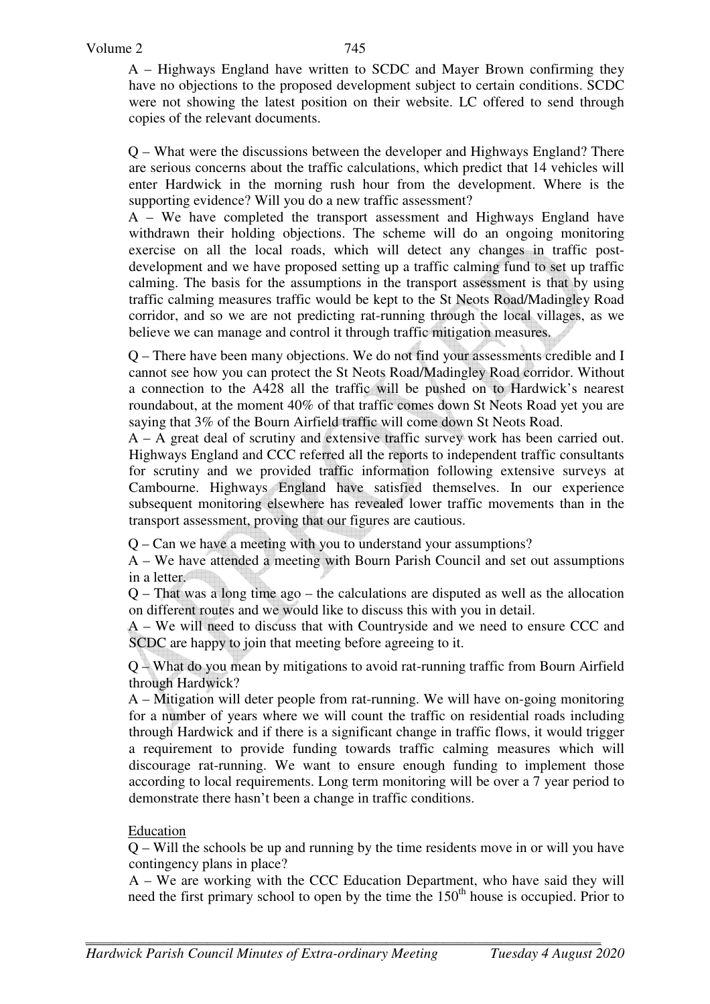A – Highways England have written to SCDC and Mayer Brown confirming they have no objections to the proposed development subject to certain conditions. SCDC were not showing the latest position on their website. LC offered to send through copies of the relevant documents.

Q – What were the discussions between the developer and Highways England? There are serious concerns about the traffic calculations, which predict that 14 vehicles will enter Hardwick in the morning rush hour from the development. Where is the supporting evidence? Will you do a new traffic assessment?

A – We have completed the transport assessment and Highways England have withdrawn their holding objections. The scheme will do an ongoing monitoring exercise on all the local roads, which will detect any changes in traffic postdevelopment and we have proposed setting up a traffic calming fund to set up traffic calming. The basis for the assumptions in the transport assessment is that by using traffic calming measures traffic would be kept to the St Neots Road/Madingley Road corridor, and so we are not predicting rat-running through the local villages, as we believe we can manage and control it through traffic mitigation measures.

Q – There have been many objections. We do not find your assessments credible and I cannot see how you can protect the St Neots Road/Madingley Road corridor. Without a connection to the A428 all the traffic will be pushed on to Hardwick's nearest roundabout, at the moment 40% of that traffic comes down St Neots Road yet you are saying that 3% of the Bourn Airfield traffic will come down St Neots Road.

A – A great deal of scrutiny and extensive traffic survey work has been carried out. Highways England and CCC referred all the reports to independent traffic consultants for scrutiny and we provided traffic information following extensive surveys at Cambourne. Highways England have satisfied themselves. In our experience subsequent monitoring elsewhere has revealed lower traffic movements than in the transport assessment, proving that our figures are cautious.

Q – Can we have a meeting with you to understand your assumptions?

A – We have attended a meeting with Bourn Parish Council and set out assumptions in a letter.

Q – That was a long time ago – the calculations are disputed as well as the allocation on different routes and we would like to discuss this with you in detail.

A – We will need to discuss that with Countryside and we need to ensure CCC and SCDC are happy to join that meeting before agreeing to it.

Q – What do you mean by mitigations to avoid rat-running traffic from Bourn Airfield through Hardwick?

A – Mitigation will deter people from rat-running. We will have on-going monitoring for a number of years where we will count the traffic on residential roads including through Hardwick and if there is a significant change in traffic flows, it would trigger a requirement to provide funding towards traffic calming measures which will discourage rat-running. We want to ensure enough funding to implement those according to local requirements. Long term monitoring will be over a 7 year period to demonstrate there hasn't been a change in traffic conditions.

## Education

Q – Will the schools be up and running by the time residents move in or will you have contingency plans in place?

A – We are working with the CCC Education Department, who have said they will need the first primary school to open by the time the  $150<sup>th</sup>$  house is occupied. Prior to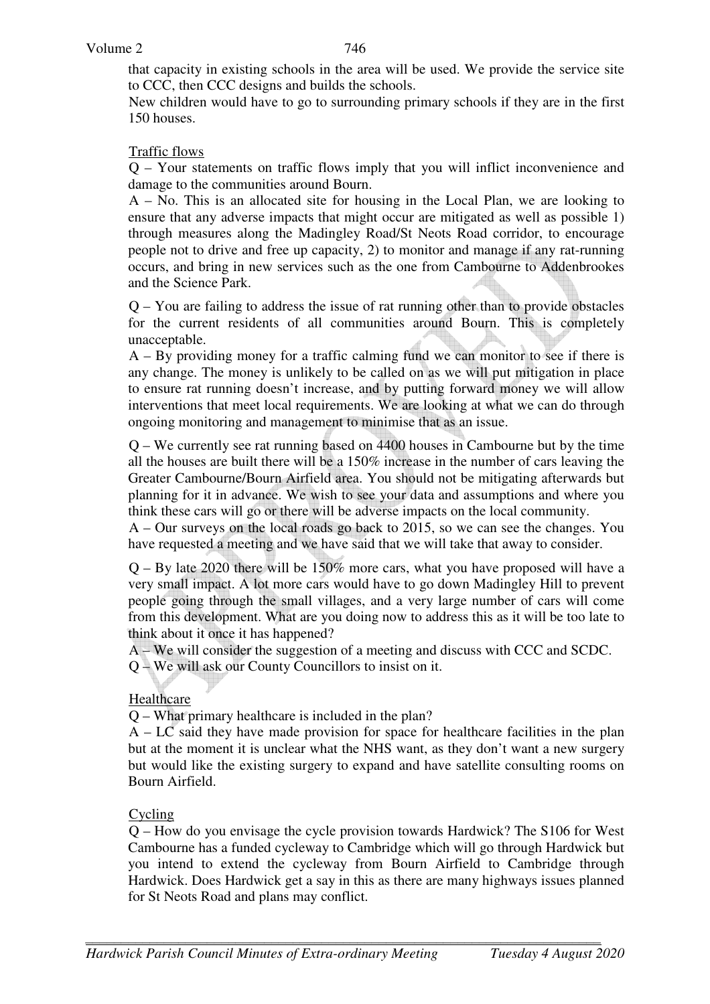that capacity in existing schools in the area will be used. We provide the service site to CCC, then CCC designs and builds the schools.

New children would have to go to surrounding primary schools if they are in the first 150 houses.

#### Traffic flows

Q – Your statements on traffic flows imply that you will inflict inconvenience and damage to the communities around Bourn.

A – No. This is an allocated site for housing in the Local Plan, we are looking to ensure that any adverse impacts that might occur are mitigated as well as possible 1) through measures along the Madingley Road/St Neots Road corridor, to encourage people not to drive and free up capacity, 2) to monitor and manage if any rat-running occurs, and bring in new services such as the one from Cambourne to Addenbrookes and the Science Park.

Q – You are failing to address the issue of rat running other than to provide obstacles for the current residents of all communities around Bourn. This is completely unacceptable.

A – By providing money for a traffic calming fund we can monitor to see if there is any change. The money is unlikely to be called on as we will put mitigation in place to ensure rat running doesn't increase, and by putting forward money we will allow interventions that meet local requirements. We are looking at what we can do through ongoing monitoring and management to minimise that as an issue.

Q – We currently see rat running based on 4400 houses in Cambourne but by the time all the houses are built there will be a 150% increase in the number of cars leaving the Greater Cambourne/Bourn Airfield area. You should not be mitigating afterwards but planning for it in advance. We wish to see your data and assumptions and where you think these cars will go or there will be adverse impacts on the local community.

A – Our surveys on the local roads go back to 2015, so we can see the changes. You have requested a meeting and we have said that we will take that away to consider.

Q – By late 2020 there will be 150% more cars, what you have proposed will have a very small impact. A lot more cars would have to go down Madingley Hill to prevent people going through the small villages, and a very large number of cars will come from this development. What are you doing now to address this as it will be too late to think about it once it has happened?

A – We will consider the suggestion of a meeting and discuss with CCC and SCDC. Q – We will ask our County Councillors to insist on it.

## Healthcare

Q – What primary healthcare is included in the plan?

A – LC said they have made provision for space for healthcare facilities in the plan but at the moment it is unclear what the NHS want, as they don't want a new surgery but would like the existing surgery to expand and have satellite consulting rooms on Bourn Airfield.

#### Cycling

Q – How do you envisage the cycle provision towards Hardwick? The S106 for West Cambourne has a funded cycleway to Cambridge which will go through Hardwick but you intend to extend the cycleway from Bourn Airfield to Cambridge through Hardwick. Does Hardwick get a say in this as there are many highways issues planned for St Neots Road and plans may conflict.